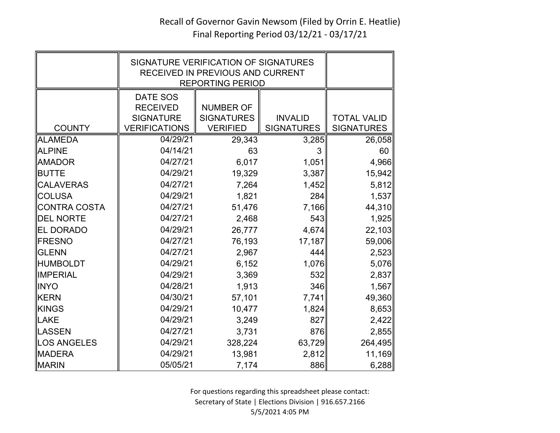|                  | SIGNATURE VERIFICATION OF SIGNATURES<br>RECEIVED IN PREVIOUS AND CURRENT<br><b>REPORTING PERIOD</b> |                                      |                                     |                                         |
|------------------|-----------------------------------------------------------------------------------------------------|--------------------------------------|-------------------------------------|-----------------------------------------|
|                  | DATE SOS<br><b>RECEIVED</b>                                                                         | <b>NUMBER OF</b>                     |                                     |                                         |
| <b>COUNTY</b>    | <b>SIGNATURE</b><br><b>VERIFICATIONS</b>                                                            | <b>SIGNATURES</b><br><b>VERIFIED</b> | <b>INVALID</b><br><b>SIGNATURES</b> | <b>TOTAL VALID</b><br><b>SIGNATURES</b> |
| <b>ALAMEDA</b>   | 04/29/21                                                                                            | 29,343                               | 3,285                               | 26,058                                  |
| <b>ALPINE</b>    | 04/14/21                                                                                            | 63                                   | 3                                   | 60                                      |
| <b>AMADOR</b>    | 04/27/21                                                                                            | 6,017                                | 1,051                               | 4,966                                   |
| <b>BUTTE</b>     | 04/29/21                                                                                            | 19,329                               | 3,387                               | 15,942                                  |
| <b>CALAVERAS</b> | 04/27/21                                                                                            | 7,264                                | 1,452                               | 5,812                                   |
| <b>COLUSA</b>    | 04/29/21                                                                                            | 1,821                                | 284                                 | 1,537                                   |
| CONTRA COSTA     | 04/27/21                                                                                            | 51,476                               | 7,166                               | 44,310                                  |
| <b>DEL NORTE</b> | 04/27/21                                                                                            | 2,468                                | 543                                 | 1,925                                   |
| <b>EL DORADO</b> | 04/29/21                                                                                            | 26,777                               | 4,674                               | 22,103                                  |
| <b>FRESNO</b>    | 04/27/21                                                                                            | 76,193                               | 17,187                              | 59,006                                  |
| <b>GLENN</b>     | 04/27/21                                                                                            | 2,967                                | 444                                 | 2,523                                   |
| <b>HUMBOLDT</b>  | 04/29/21                                                                                            | 6,152                                | 1,076                               | 5,076                                   |
| <b>IMPERIAL</b>  | 04/29/21                                                                                            | 3,369                                | 532                                 | 2,837                                   |
| <b>INYO</b>      | 04/28/21                                                                                            | 1,913                                | 346                                 | 1,567                                   |
| <b>KERN</b>      | 04/30/21                                                                                            | 57,101                               | 7,741                               | 49,360                                  |
| KINGS            | 04/29/21                                                                                            | 10,477                               | 1,824                               | 8,653                                   |
| LAKE             | 04/29/21                                                                                            | 3,249                                | 827                                 | 2,422                                   |
| <b>ILASSEN</b>   | 04/27/21                                                                                            | 3,731                                | 876                                 | 2,855                                   |
| LOS ANGELES      | 04/29/21                                                                                            | 328,224                              | 63,729                              | 264,495                                 |
| <b>MADERA</b>    | 04/29/21                                                                                            | 13,981                               | 2,812                               | 11,169                                  |
| <b>MARIN</b>     | 05/05/21                                                                                            | 7,174                                | 886                                 | 6,288                                   |

For questions regarding this spreadsheet please contact: Secretary of State | Elections Division | 916.657.2166 5/5/2021 4:05 PM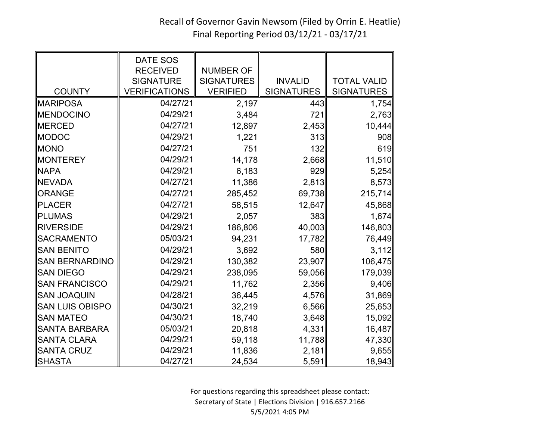## Recall of Governor Gavin Newsom (Filed by Orrin E. Heatlie) Final Reporting Period 03/12/21 - 03/17/21

|                        | <b>DATE SOS</b><br><b>RECEIVED</b> | <b>NUMBER OF</b>  |                   |                    |
|------------------------|------------------------------------|-------------------|-------------------|--------------------|
|                        | <b>SIGNATURE</b>                   | <b>SIGNATURES</b> | <b>INVALID</b>    | <b>TOTAL VALID</b> |
| <b>COUNTY</b>          | <b>VERIFICATIONS</b>               | <b>VERIFIED</b>   | <b>SIGNATURES</b> | <b>SIGNATURES</b>  |
| <b>MARIPOSA</b>        | 04/27/21                           | 2,197             | 443               | 1,754              |
| <b>MENDOCINO</b>       | 04/29/21                           | 3,484             | 721               | 2,763              |
| <b>MERCED</b>          | 04/27/21                           | 12,897            | 2,453             | 10,444             |
| <b>MODOC</b>           | 04/29/21                           | 1,221             | 313               | 908                |
| <b>MONO</b>            | 04/27/21                           | 751               | 132               | 619                |
| <b>MONTEREY</b>        | 04/29/21                           | 14,178            | 2,668             | 11,510             |
| <b>NAPA</b>            | 04/29/21                           | 6,183             | 929               | 5,254              |
| <b>NEVADA</b>          | 04/27/21                           | 11,386            | 2,813             | 8,573              |
| <b>ORANGE</b>          | 04/27/21                           | 285,452           | 69,738            | 215,714            |
| <b>PLACER</b>          | 04/27/21                           | 58,515            | 12,647            | 45,868             |
| <b>PLUMAS</b>          | 04/29/21                           | 2,057             | 383               | 1,674              |
| <b>RIVERSIDE</b>       | 04/29/21                           | 186,806           | 40,003            | 146,803            |
| <b>SACRAMENTO</b>      | 05/03/21                           | 94,231            | 17,782            | 76,449             |
| <b>SAN BENITO</b>      | 04/29/21                           | 3,692             | 580               | 3,112              |
| <b>SAN BERNARDINO</b>  | 04/29/21                           | 130,382           | 23,907            | 106,475            |
| <b>SAN DIEGO</b>       | 04/29/21                           | 238,095           | 59,056            | 179,039            |
| <b>SAN FRANCISCO</b>   | 04/29/21                           | 11,762            | 2,356             | 9,406              |
| <b>SAN JOAQUIN</b>     | 04/28/21                           | 36,445            | 4,576             | 31,869             |
| <b>SAN LUIS OBISPO</b> | 04/30/21                           | 32,219            | 6,566             | 25,653             |
| <b>SAN MATEO</b>       | 04/30/21                           | 18,740            | 3,648             | 15,092             |
| <b>SANTA BARBARA</b>   | 05/03/21                           | 20,818            | 4,331             | 16,487             |
| <b>SANTA CLARA</b>     | 04/29/21                           | 59,118            | 11,788            | 47,330             |
| <b>SANTA CRUZ</b>      | 04/29/21                           | 11,836            | 2,181             | 9,655              |
| <b>SHASTA</b>          | 04/27/21                           | 24,534            | 5,591             | 18,943             |

For questions regarding this spreadsheet please contact: Secretary of State | Elections Division | 916.657.2166 5/5/2021 4:05 PM